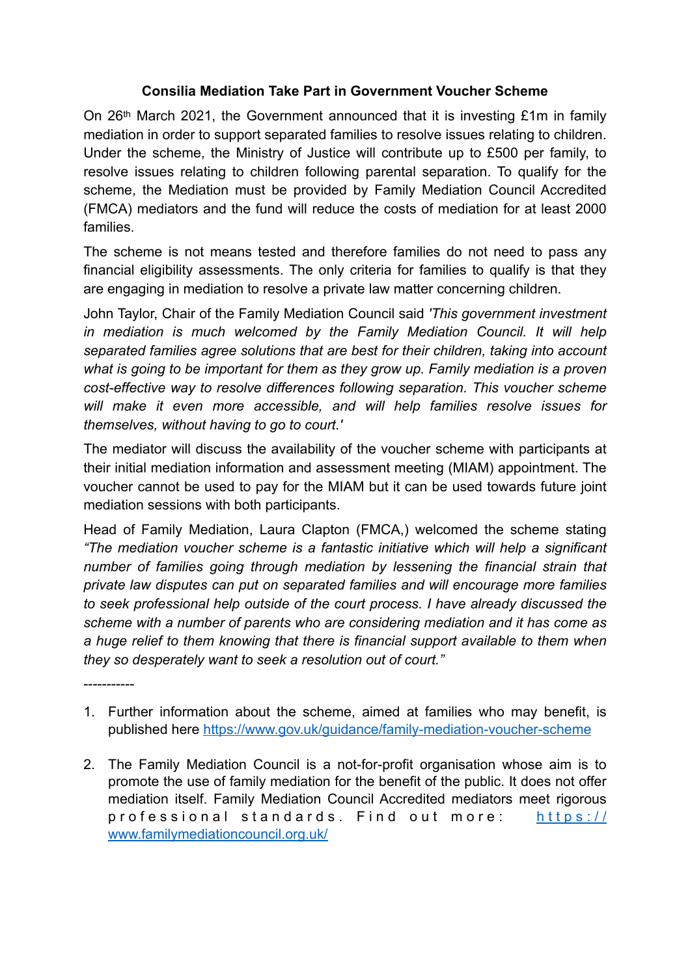## **Consilia Mediation Take Part in Government Voucher Scheme**

On 26th March 2021, the Government announced that it is investing £1m in family mediation in order to support separated families to resolve issues relating to children. Under the scheme, the Ministry of Justice will contribute up to £500 per family, to resolve issues relating to children following parental separation. To qualify for the scheme, the Mediation must be provided by Family Mediation Council Accredited (FMCA) mediators and the fund will reduce the costs of mediation for at least 2000 families.

The scheme is not means tested and therefore families do not need to pass any financial eligibility assessments. The only criteria for families to qualify is that they are engaging in mediation to resolve a private law matter concerning children.

John Taylor, Chair of the Family Mediation Council said *'This government investment in mediation is much welcomed by the Family Mediation Council. It will help separated families agree solutions that are best for their children, taking into account what is going to be important for them as they grow up. Family mediation is a proven cost-effective way to resolve differences following separation. This voucher scheme will make it even more accessible, and will help families resolve issues for themselves, without having to go to court.'*

The mediator will discuss the availability of the voucher scheme with participants at their initial mediation information and assessment meeting (MIAM) appointment. The voucher cannot be used to pay for the MIAM but it can be used towards future joint mediation sessions with both participants.

Head of Family Mediation, Laura Clapton (FMCA,) welcomed the scheme stating *"The mediation voucher scheme is a fantastic initiative which will help a significant number of families going through mediation by lessening the financial strain that private law disputes can put on separated families and will encourage more families to seek professional help outside of the court process. I have already discussed the scheme with a number of parents who are considering mediation and it has come as a huge relief to them knowing that there is financial support available to them when they so desperately want to seek a resolution out of court."*

1. Further information about the scheme, aimed at families who may benefit, is published here<https://www.gov.uk/guidance/family-mediation-voucher-scheme>

-----------

2. The Family Mediation Council is a not-for-profit organisation whose aim is to promote the use of family mediation for the benefit of the public. It does not offer mediation itself. Family Mediation Council Accredited mediators meet rigorous professional standards. Find out more: [https://](https://www.familymediationcouncil.org.uk/) [www.familymediationcouncil.org.uk/](https://www.familymediationcouncil.org.uk/)